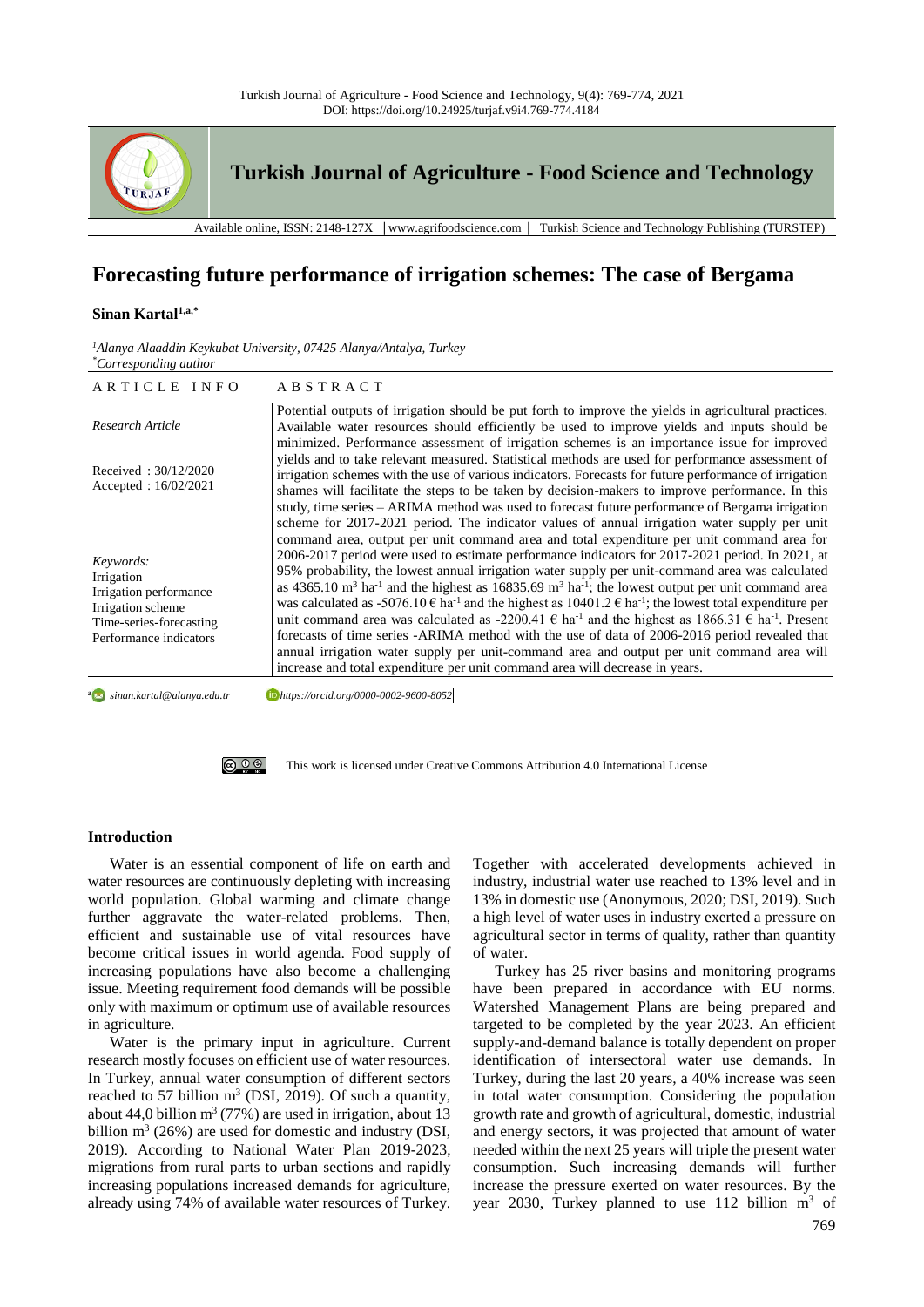

# **Forecasting future performance of irrigation schemes: The case of Bergama**

#### **Sinan Kartal1,a,\***

| <sup>1</sup> Alanya Alaaddin Keykubat University, 07425 Alanya/Antalya, Turkey |  |  |
|--------------------------------------------------------------------------------|--|--|
| <i>*Corresponding author</i>                                                   |  |  |

| ARTICLE INFO                                                                                                                | ABSTRACT                                                                                                                                                                                                                                                                                                                                                                                                                                                                                                                                                                                                                                                                                                                                                                                                                                                                                                                                                                                                                                 |
|-----------------------------------------------------------------------------------------------------------------------------|------------------------------------------------------------------------------------------------------------------------------------------------------------------------------------------------------------------------------------------------------------------------------------------------------------------------------------------------------------------------------------------------------------------------------------------------------------------------------------------------------------------------------------------------------------------------------------------------------------------------------------------------------------------------------------------------------------------------------------------------------------------------------------------------------------------------------------------------------------------------------------------------------------------------------------------------------------------------------------------------------------------------------------------|
| Research Article                                                                                                            | Potential outputs of irrigation should be put forth to improve the yields in agricultural practices.<br>Available water resources should efficiently be used to improve yields and inputs should be<br>minimized. Performance assessment of irrigation schemes is an importance issue for improved                                                                                                                                                                                                                                                                                                                                                                                                                                                                                                                                                                                                                                                                                                                                       |
| Received: $30/12/2020$<br>Accepted: $16/02/2021$                                                                            | yields and to take relevant measured. Statistical methods are used for performance assessment of<br>irrigation schemes with the use of various indicators. Forecasts for future performance of irrigation<br>shames will facilitate the steps to be taken by decision-makers to improve performance. In this<br>study, time series – ARIMA method was used to forecast future performance of Bergama irrigation<br>scheme for 2017-2021 period. The indicator values of annual irrigation water supply per unit                                                                                                                                                                                                                                                                                                                                                                                                                                                                                                                          |
| Keywords:<br>Irrigation<br>Irrigation performance<br>Irrigation scheme<br>Time-series-forecasting<br>Performance indicators | command area, output per unit command area and total expenditure per unit command area for<br>2006-2017 period were used to estimate performance indicators for 2017-2021 period. In 2021, at<br>95% probability, the lowest annual irrigation water supply per unit-command area was calculated<br>as $4365.10$ m <sup>3</sup> ha <sup>-1</sup> and the highest as $16835.69$ m <sup>3</sup> ha <sup>-1</sup> ; the lowest output per unit command area<br>was calculated as -5076.10 $\epsilon$ ha <sup>-1</sup> and the highest as 10401.2 $\epsilon$ ha <sup>-1</sup> ; the lowest total expenditure per<br>unit command area was calculated as -2200.41 $\epsilon$ ha <sup>-1</sup> and the highest as 1866.31 $\epsilon$ ha <sup>-1</sup> . Present<br>forecasts of time series -ARIMA method with the use of data of 2006-2016 period revealed that<br>annual irrigation water supply per unit-command area and output per unit command area will<br>increase and total expenditure per unit command area will decrease in years. |

a<sub>2</sub> sinan.kartal@alanya.edu.tr *sinan.kartal@alanya.edu.tr https://orcid.org/0000-0002-9600-8052*

> (ഒ ⊙ ⊛ [This work is licensed under Creative Commons Attribution 4.0 International License](http://creativecommons.org/licenses/by-nc/4.0/)

## **Introduction**

Water is an essential component of life on earth and water resources are continuously depleting with increasing world population. Global warming and climate change further aggravate the water-related problems. Then, efficient and sustainable use of vital resources have become critical issues in world agenda. Food supply of increasing populations have also become a challenging issue. Meeting requirement food demands will be possible only with maximum or optimum use of available resources in agriculture.

Water is the primary input in agriculture. Current research mostly focuses on efficient use of water resources. In Turkey, annual water consumption of different sectors reached to 57 billion  $m^3$  (DSI, 2019). Of such a quantity, about 44,0 billion  $m^3$  (77%) are used in irrigation, about 13 billion  $m^3$  (26%) are used for domestic and industry (DSI, 2019). According to National Water Plan 2019-2023, migrations from rural parts to urban sections and rapidly increasing populations increased demands for agriculture, already using 74% of available water resources of Turkey. Together with accelerated developments achieved in industry, industrial water use reached to 13% level and in 13% in domestic use (Anonymous, 2020; DSI, 2019). Such a high level of water uses in industry exerted a pressure on agricultural sector in terms of quality, rather than quantity of water.

Turkey has 25 river basins and monitoring programs have been prepared in accordance with EU norms. Watershed Management Plans are being prepared and targeted to be completed by the year 2023. An efficient supply-and-demand balance is totally dependent on proper identification of intersectoral water use demands. In Turkey, during the last 20 years, a 40% increase was seen in total water consumption. Considering the population growth rate and growth of agricultural, domestic, industrial and energy sectors, it was projected that amount of water needed within the next 25 years will triple the present water consumption. Such increasing demands will further increase the pressure exerted on water resources. By the year 2030, Turkey planned to use  $112$  billion  $m<sup>3</sup>$  of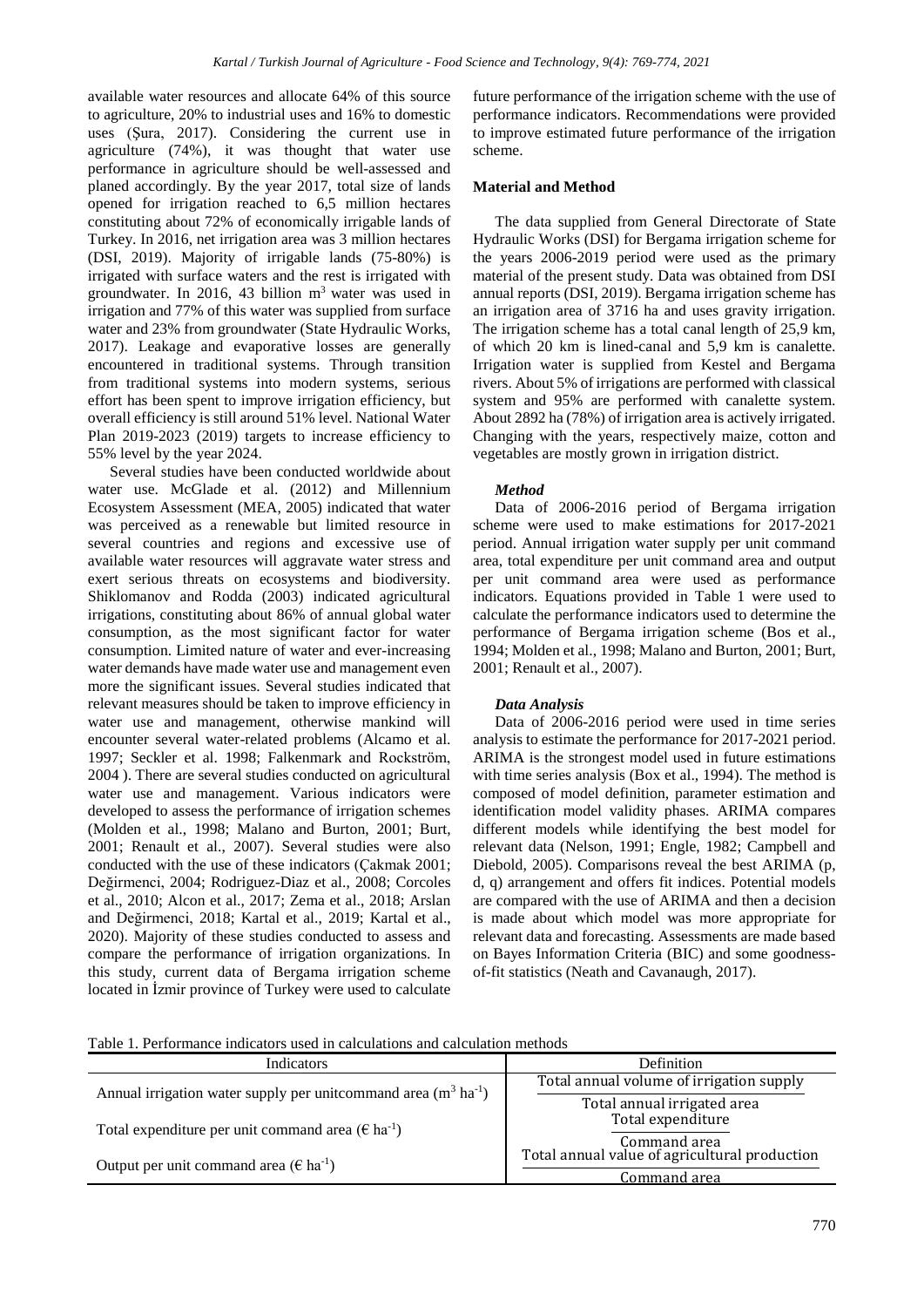available water resources and allocate 64% of this source to agriculture, 20% to industrial uses and 16% to domestic uses (Şura, 2017). Considering the current use in agriculture (74%), it was thought that water use performance in agriculture should be well-assessed and planed accordingly. By the year 2017, total size of lands opened for irrigation reached to 6,5 million hectares constituting about 72% of economically irrigable lands of Turkey. In 2016, net irrigation area was 3 million hectares (DSI, 2019). Majority of irrigable lands (75-80%) is irrigated with surface waters and the rest is irrigated with groundwater. In 2016, 43 billion m<sup>3</sup> water was used in irrigation and 77% of this water was supplied from surface water and 23% from groundwater (State Hydraulic Works, 2017). Leakage and evaporative losses are generally encountered in traditional systems. Through transition from traditional systems into modern systems, serious effort has been spent to improve irrigation efficiency, but overall efficiency is still around 51% level. National Water Plan 2019-2023 (2019) targets to increase efficiency to 55% level by the year 2024.

Several studies have been conducted worldwide about water use. McGlade et al. (2012) and Millennium Ecosystem Assessment (MEA, 2005) indicated that water was perceived as a renewable but limited resource in several countries and regions and excessive use of available water resources will aggravate water stress and exert serious threats on ecosystems and biodiversity. Shiklomanov and Rodda (2003) indicated agricultural irrigations, constituting about 86% of annual global water consumption, as the most significant factor for water consumption. Limited nature of water and ever-increasing water demands have made water use and management even more the significant issues. Several studies indicated that relevant measures should be taken to improve efficiency in water use and management, otherwise mankind will encounter several water-related problems (Alcamo et al. 1997; Seckler et al. 1998; Falkenmark and Rockström, 2004 ). There are several studies conducted on agricultural water use and management. Various indicators were developed to assess the performance of irrigation schemes (Molden et al., 1998; Malano and Burton, 2001; Burt, 2001; Renault et al., 2007). Several studies were also conducted with the use of these indicators (Çakmak 2001; Değirmenci, 2004; Rodriguez-Diaz et al., 2008; Corcoles et al., 2010; Alcon et al., 2017; Zema et al., 2018; Arslan and Değirmenci, 2018; Kartal et al., 2019; Kartal et al., 2020). Majority of these studies conducted to assess and compare the performance of irrigation organizations. In this study, current data of Bergama irrigation scheme located in İzmir province of Turkey were used to calculate

future performance of the irrigation scheme with the use of performance indicators. Recommendations were provided to improve estimated future performance of the irrigation scheme.

## **Material and Method**

The data supplied from General Directorate of State Hydraulic Works (DSI) for Bergama irrigation scheme for the years 2006-2019 period were used as the primary material of the present study. Data was obtained from DSI annual reports (DSI, 2019). Bergama irrigation scheme has an irrigation area of 3716 ha and uses gravity irrigation. The irrigation scheme has a total canal length of 25,9 km, of which 20 km is lined-canal and 5,9 km is canalette. Irrigation water is supplied from Kestel and Bergama rivers. About 5% of irrigations are performed with classical system and 95% are performed with canalette system. About 2892 ha (78%) of irrigation area is actively irrigated. Changing with the years, respectively maize, cotton and vegetables are mostly grown in irrigation district.

## *Method*

Data of 2006-2016 period of Bergama irrigation scheme were used to make estimations for 2017-2021 period. Annual irrigation water supply per unit command area, total expenditure per unit command area and output per unit command area were used as performance indicators. Equations provided in Table 1 were used to calculate the performance indicators used to determine the performance of Bergama irrigation scheme (Bos et al., 1994; Molden et al., 1998; Malano and Burton, 2001; Burt, 2001; Renault et al., 2007).

## *Data Analysis*

Data of 2006-2016 period were used in time series analysis to estimate the performance for 2017-2021 period. ARIMA is the strongest model used in future estimations with time series analysis (Box et al., 1994). The method is composed of model definition, parameter estimation and identification model validity phases. ARIMA compares different models while identifying the best model for relevant data (Nelson, 1991; Engle, 1982; Campbell and Diebold, 2005). Comparisons reveal the best ARIMA (p, d, q) arrangement and offers fit indices. Potential models are compared with the use of ARIMA and then a decision is made about which model was more appropriate for relevant data and forecasting. Assessments are made based on Bayes Information Criteria (BIC) and some goodnessof-fit statistics (Neath and Cavanaugh, 2017).

Table 1. Performance indicators used in calculations and calculation methods

| <b>Indicators</b>                                                            | Definition                                    |  |
|------------------------------------------------------------------------------|-----------------------------------------------|--|
| Annual irrigation water supply per unit command area $(m^3 \text{ ha}^{-1})$ | Total annual volume of irrigation supply      |  |
|                                                                              | Total annual irrigated area                   |  |
| Total expenditure per unit command area ( $\epsilon$ ha <sup>-1</sup> )      | Total expenditure                             |  |
|                                                                              | Command area                                  |  |
| Output per unit command area ( $\epsilon$ ha <sup>-1</sup> )                 | Total annual value of agricultural production |  |
|                                                                              | Command area                                  |  |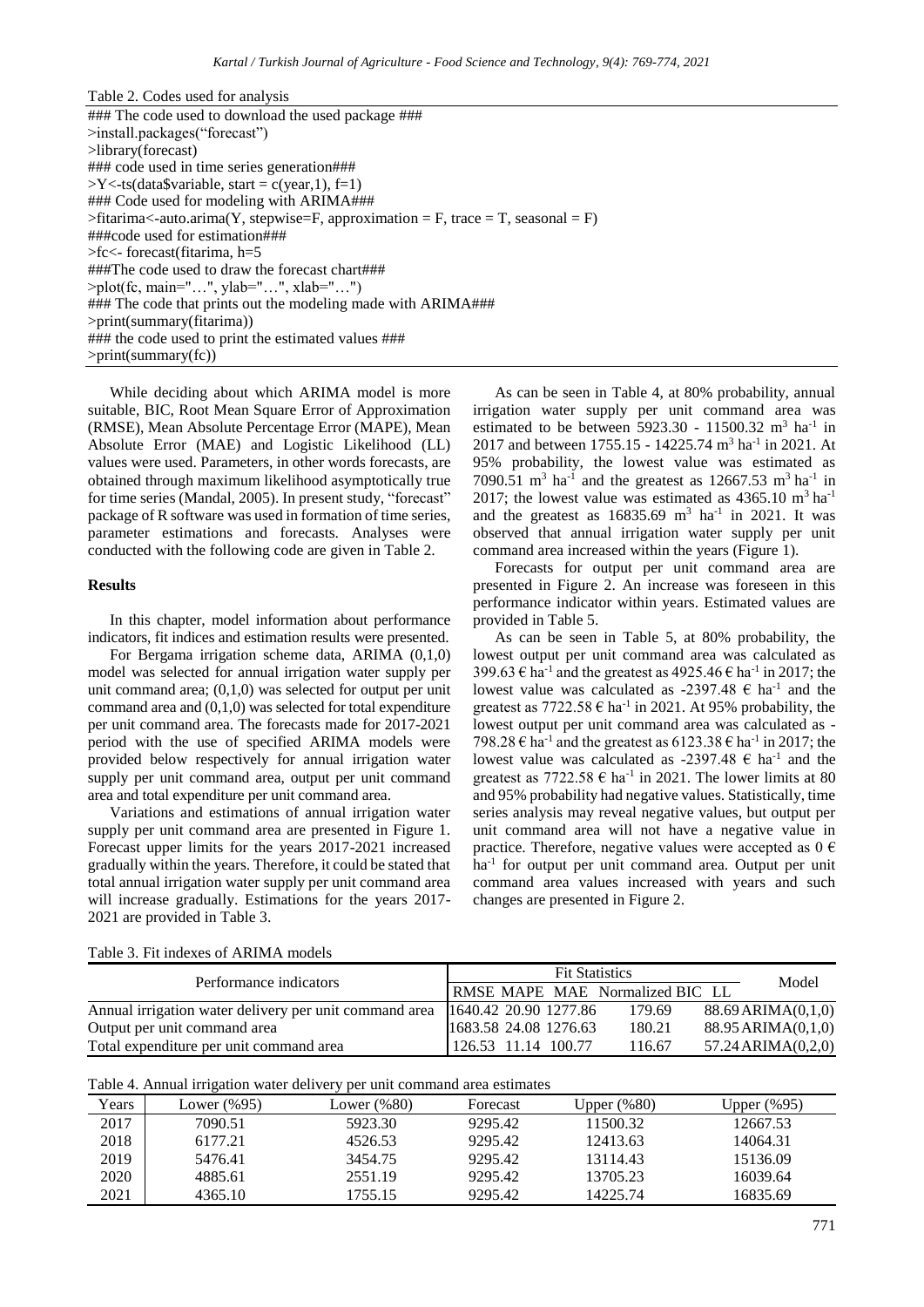While deciding about which ARIMA model is more suitable, BIC, Root Mean Square Error of Approximation (RMSE), Mean Absolute Percentage Error (MAPE), Mean Absolute Error (MAE) and Logistic Likelihood (LL) values were used. Parameters, in other words forecasts, are obtained through maximum likelihood asymptotically true for time series (Mandal, 2005). In present study, "forecast" package of R software was used in formation of time series, parameter estimations and forecasts. Analyses were conducted with the following code are given in Table 2.

### **Results**

In this chapter, model information about performance indicators, fit indices and estimation results were presented.

For Bergama irrigation scheme data, ARIMA (0,1,0) model was selected for annual irrigation water supply per unit command area;  $(0,1,0)$  was selected for output per unit command area and  $(0,1,0)$  was selected for total expenditure per unit command area. The forecasts made for 2017-2021 period with the use of specified ARIMA models were provided below respectively for annual irrigation water supply per unit command area, output per unit command area and total expenditure per unit command area.

Variations and estimations of annual irrigation water supply per unit command area are presented in Figure 1. Forecast upper limits for the years 2017-2021 increased gradually within the years. Therefore, it could be stated that total annual irrigation water supply per unit command area will increase gradually. Estimations for the years 2017- 2021 are provided in Table 3.

As can be seen in Table 4, at 80% probability, annual irrigation water supply per unit command area was estimated to be between  $5923.30 - 11500.32 \text{ m}^3 \text{ ha}^{-1}$  in 2017 and between 1755.15 - 14225.74 m<sup>3</sup> ha<sup>-1</sup> in 2021. At 95% probability, the lowest value was estimated as 7090.51 m<sup>3</sup> ha<sup>-1</sup> and the greatest as 12667.53 m<sup>3</sup> ha<sup>-1</sup> in 2017; the lowest value was estimated as  $4365.10 \text{ m}^3 \text{ ha}^{-1}$ and the greatest as  $16835.69$  m<sup>3</sup> ha<sup>-1</sup> in 2021. It was observed that annual irrigation water supply per unit command area increased within the years (Figure 1).

Forecasts for output per unit command area are presented in Figure 2. An increase was foreseen in this performance indicator within years. Estimated values are provided in Table 5.

As can be seen in Table 5, at 80% probability, the lowest output per unit command area was calculated as 399.63  $\epsilon$  ha<sup>-1</sup> and the greatest as 4925.46  $\epsilon$  ha<sup>-1</sup> in 2017; the lowest value was calculated as -2397.48  $\epsilon$  ha<sup>-1</sup> and the greatest as  $7722.58 \in \text{ha}^{-1}$  in 2021. At 95% probability, the lowest output per unit command area was calculated as - 798.28  $\epsilon$  ha<sup>-1</sup> and the greatest as 6123.38  $\epsilon$  ha<sup>-1</sup> in 2017; the lowest value was calculated as -2397.48  $\epsilon$  ha<sup>-1</sup> and the greatest as  $7722.58 \text{ } \in \text{ ha}^{-1}$  in 2021. The lower limits at 80 and 95% probability had negative values. Statistically, time series analysis may reveal negative values, but output per unit command area will not have a negative value in practice. Therefore, negative values were accepted as  $0 \in$ ha<sup>-1</sup> for output per unit command area. Output per unit command area values increased with years and such changes are presented in Figure 2.

|  | Table 3. Fit indexes of ARIMA models |  |  |
|--|--------------------------------------|--|--|
|--|--------------------------------------|--|--|

| Performance indicators                                 | <b>Fit Statistics</b>                  | Model  |                         |
|--------------------------------------------------------|----------------------------------------|--------|-------------------------|
|                                                        | <b>RMSE MAPE MAE Normalized BIC LL</b> |        |                         |
| Annual irrigation water delivery per unit command area | 1640.42 20.90 1277.86                  | 179.69 | $88.69$ ARIMA $(0,1,0)$ |
| Output per unit command area                           | 1683.58 24.08 1276.63                  | 180.21 | $88.95$ ARIMA $(0,1,0)$ |
| Total expenditure per unit command area                | $126.53$ 11.14 100.77                  | 116.67 | $57.24$ ARIMA $(0,2,0)$ |

| Table 4. Annual irrigation water delivery per unit command area estimates |  |  |  |  |
|---------------------------------------------------------------------------|--|--|--|--|
|                                                                           |  |  |  |  |

| Years | Lower $(\%95)$ | Lower $(\%80)$ | Forecast | Upper (%80) | Upper (%95) |
|-------|----------------|----------------|----------|-------------|-------------|
| 2017  | 7090.51        | 5923.30        | 9295.42  | 11500.32    | 12667.53    |
| 2018  | 6177.21        | 4526.53        | 9295.42  | 12413.63    | 14064.31    |
| 2019  | 5476.41        | 3454.75        | 9295.42  | 13114.43    | 15136.09    |
| 2020  | 4885.61        | 2551.19        | 9295.42  | 13705.23    | 16039.64    |
| 2021  | 4365.10        | 1755.15        | 9295.42  | 14225.74    | 16835.69    |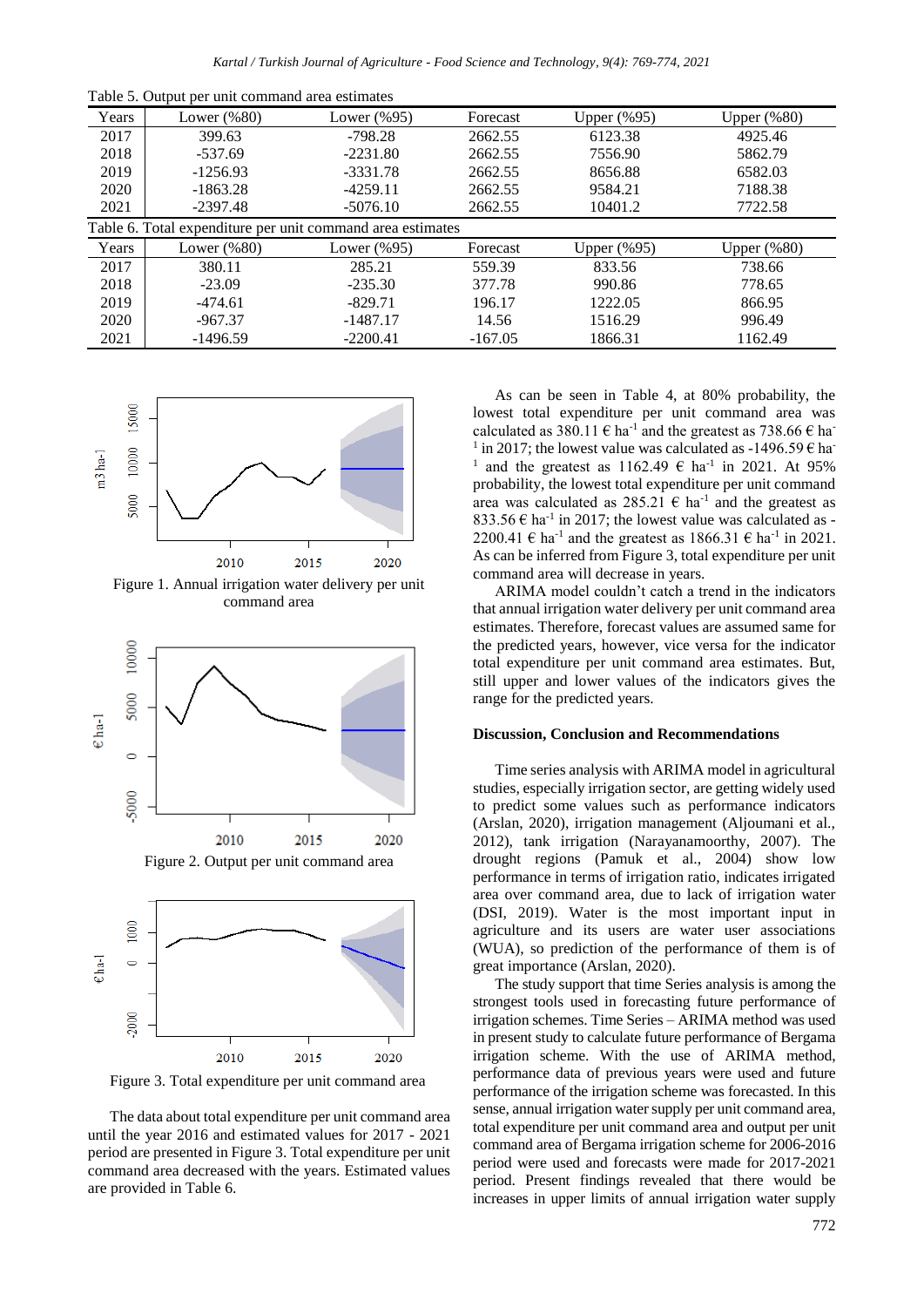|  |  |  | Table 5. Output per unit command area estimates |
|--|--|--|-------------------------------------------------|
|--|--|--|-------------------------------------------------|

| Years | Lower $(\%80)$                                             | Lower $(\%95)$ | Forecast  | Upper $(\%95)$ | Upper $(\%80)$ |
|-------|------------------------------------------------------------|----------------|-----------|----------------|----------------|
| 2017  | 399.63                                                     | $-798.28$      | 2662.55   | 6123.38        | 4925.46        |
| 2018  | $-537.69$                                                  | $-2231.80$     | 2662.55   | 7556.90        | 5862.79        |
| 2019  | $-1256.93$                                                 | $-3331.78$     | 2662.55   | 8656.88        | 6582.03        |
| 2020  | $-1863.28$                                                 | $-4259.11$     | 2662.55   | 9584.21        | 7188.38        |
| 2021  | $-2397.48$                                                 | $-5076.10$     | 2662.55   | 10401.2        | 7722.58        |
|       | Table 6. Total expenditure per unit command area estimates |                |           |                |                |
| Years | Lower $(\%80)$                                             | Lower $(\%95)$ | Forecast  | Upper $(\%95)$ | Upper $(\%80)$ |
| 2017  | 380.11                                                     | 285.21         | 559.39    | 833.56         | 738.66         |
| 2018  | $-23.09$                                                   | $-235.30$      | 377.78    | 990.86         | 778.65         |
| 2019  | $-474.61$                                                  | $-829.71$      | 196.17    | 1222.05        | 866.95         |
| 2020  | $-967.37$                                                  | $-1487.17$     | 14.56     | 1516.29        | 996.49         |
| 2021  | $-1496.59$                                                 | $-2200.41$     | $-167.05$ | 1866.31        | 1162.49        |



Figure 1. Annual irrigation water delivery per unit command area



Figure 2. Output per unit command area



Figure 3. Total expenditure per unit command area

The data about total expenditure per unit command area until the year 2016 and estimated values for 2017 - 2021 period are presented in Figure 3. Total expenditure per unit command area decreased with the years. Estimated values are provided in Table 6.

As can be seen in Table 4, at 80% probability, the lowest total expenditure per unit command area was calculated as 380.11  $\epsilon$  ha<sup>-1</sup> and the greatest as 738.66  $\epsilon$  ha<sup>-1</sup> <sup>1</sup> in 2017; the lowest value was calculated as -1496.59  $\epsilon$  ha <sup>1</sup> and the greatest as 1162.49  $\epsilon$  ha<sup>-1</sup> in 2021. At 95% probability, the lowest total expenditure per unit command area was calculated as 285.21 € ha-1 and the greatest as 833.56  $\epsilon$  ha<sup>-1</sup> in 2017; the lowest value was calculated as -2200.41 € ha<sup>-1</sup> and the greatest as  $1866.31 \text{ € ha}^{-1}$  in 2021. As can be inferred from Figure 3, total expenditure per unit command area will decrease in years.

ARIMA model couldn't catch a trend in the indicators that annual irrigation water delivery per unit command area estimates. Therefore, forecast values are assumed same for the predicted years, however, vice versa for the indicator total expenditure per unit command area estimates. But, still upper and lower values of the indicators gives the range for the predicted years.

#### **Discussion, Conclusion and Recommendations**

Time series analysis with ARIMA model in agricultural studies, especially irrigation sector, are getting widely used to predict some values such as performance indicators (Arslan, 2020), irrigation management (Aljoumani et al., 2012), tank irrigation (Narayanamoorthy, 2007). The drought regions (Pamuk et al., 2004) show low performance in terms of irrigation ratio, indicates irrigated area over command area, due to lack of irrigation water (DSI, 2019). Water is the most important input in agriculture and its users are water user associations (WUA), so prediction of the performance of them is of great importance (Arslan, 2020).

The study support that time Series analysis is among the strongest tools used in forecasting future performance of irrigation schemes. Time Series – ARIMA method was used in present study to calculate future performance of Bergama irrigation scheme. With the use of ARIMA method, performance data of previous years were used and future performance of the irrigation scheme was forecasted. In this sense, annual irrigation water supply per unit command area, total expenditure per unit command area and output per unit command area of Bergama irrigation scheme for 2006-2016 period were used and forecasts were made for 2017-2021 period. Present findings revealed that there would be increases in upper limits of annual irrigation water supply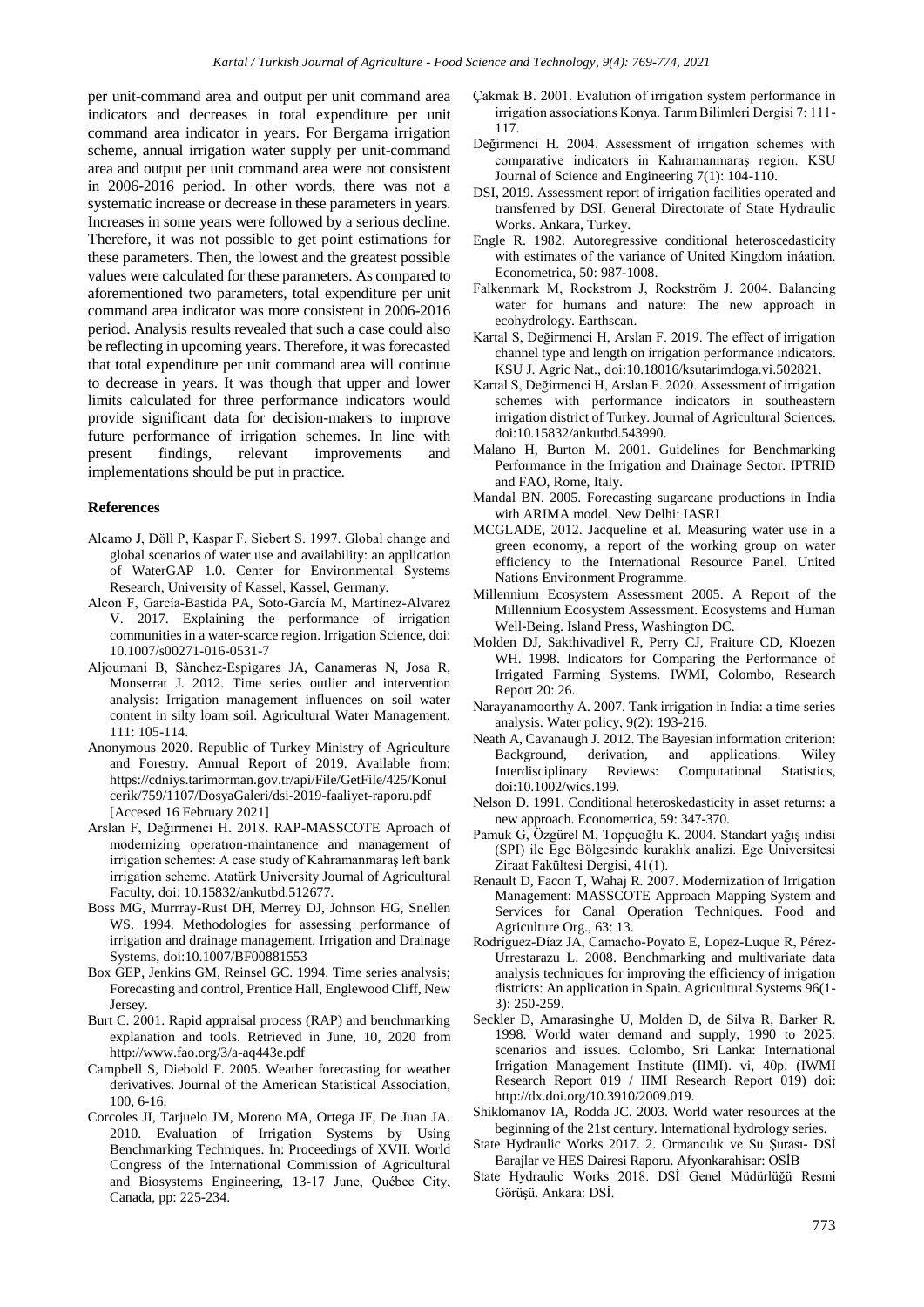per unit-command area and output per unit command area indicators and decreases in total expenditure per unit command area indicator in years. For Bergama irrigation scheme, annual irrigation water supply per unit-command area and output per unit command area were not consistent in 2006-2016 period. In other words, there was not a systematic increase or decrease in these parameters in years. Increases in some years were followed by a serious decline. Therefore, it was not possible to get point estimations for these parameters. Then, the lowest and the greatest possible values were calculated for these parameters. As compared to aforementioned two parameters, total expenditure per unit command area indicator was more consistent in 2006-2016 period. Analysis results revealed that such a case could also be reflecting in upcoming years. Therefore, it was forecasted that total expenditure per unit command area will continue to decrease in years. It was though that upper and lower limits calculated for three performance indicators would provide significant data for decision-makers to improve future performance of irrigation schemes. In line with present findings, relevant improvements and implementations should be put in practice.

#### **References**

- Alcamo J, Döll P, Kaspar F, Siebert S. 1997. Global change and global scenarios of water use and availability: an application of WaterGAP 1.0. Center for Environmental Systems Research, University of Kassel, Kassel, Germany.
- Alcon F, García-Bastida PA, Soto-García M, Martínez-Alvarez V. 2017. Explaining the performance of irrigation communities in a water-scarce region. Irrigation Science, doi: 10.1007/s00271-016-0531-7
- Aljoumani B, Sànchez-Espigares JA, Canameras N, Josa R, Monserrat J. 2012. Time series outlier and intervention analysis: Irrigation management influences on soil water content in silty loam soil. Agricultural Water Management, 111: 105-114.
- Anonymous 2020. Republic of Turkey Ministry of Agriculture and Forestry. Annual Report of 2019. Available from: https://cdniys.tarimorman.gov.tr/api/File/GetFile/425/KonuI cerik/759/1107/DosyaGaleri/dsi-2019-faaliyet-raporu.pdf [Accesed 16 February 2021]
- Arslan F, Değirmenci H. 2018. RAP-MASSCOTE Aproach of modernizing operatıon-maintanence and management of irrigation schemes: A case study of Kahramanmaraş left bank irrigation scheme. Atatürk University Journal of Agricultural Faculty, doi: 10.15832/ankutbd.512677.
- Boss MG, Murrray-Rust DH, Merrey DJ, Johnson HG, Snellen WS. 1994. Methodologies for assessing performance of irrigation and drainage management. Irrigation and Drainage Systems, doi:10.1007/BF00881553
- Box GEP, Jenkins GM, Reinsel GC. 1994. Time series analysis; Forecasting and control, Prentice Hall, Englewood Cliff, New Jersey.
- Burt C. 2001. Rapid appraisal process (RAP) and benchmarking explanation and tools. Retrieved in June, 10, 2020 from http://www.fao.org/3/a-aq443e.pdf
- Campbell S, Diebold F. 2005. Weather forecasting for weather derivatives. Journal of the American Statistical Association, 100, 6-16.
- Corcoles JI, Tarjuelo JM, Moreno MA, Ortega JF, De Juan JA. 2010. Evaluation of Irrigation Systems by Using Benchmarking Techniques. In: Proceedings of XVII. World Congress of the International Commission of Agricultural and Biosystems Engineering, 13-17 June, Québec City, Canada, pp: 225-234.
- Çakmak B. 2001. Evalution of irrigation system performance in irrigation associations Konya. Tarım Bilimleri Dergisi 7: 111- 117.
- Değirmenci H. 2004. Assessment of irrigation schemes with comparative indicators in Kahramanmaraş region. KSU Journal of Science and Engineering 7(1): 104-110.
- DSI, 2019. Assessment report of irrigation facilities operated and transferred by DSI. General Directorate of State Hydraulic Works. Ankara, Turkey.
- Engle R. 1982. Autoregressive conditional heteroscedasticity with estimates of the variance of United Kingdom ináation. Econometrica, 50: 987-1008.
- Falkenmark M, Rockstrom J, Rockström J. 2004. Balancing water for humans and nature: The new approach in ecohydrology. Earthscan.
- Kartal S, Değirmenci H, Arslan F. 2019. The effect of irrigation channel type and length on irrigation performance indicators. KSU J. Agric Nat., doi:10.18016/ksutarimdoga.vi.502821.
- Kartal S, Değirmenci H, Arslan F. 2020. Assessment of irrigation schemes with performance indicators in southeastern irrigation district of Turkey. Journal of Agricultural Sciences. doi:10.15832/ankutbd.543990.
- Malano H, Burton M. 2001. Guidelines for Benchmarking Performance in the Irrigation and Drainage Sector. IPTRID and FAO, Rome, Italy.
- Mandal BN. 2005. Forecasting sugarcane productions in India with ARIMA model. New Delhi: IASRI
- MCGLADE, 2012. Jacqueline et al. Measuring water use in a green economy, a report of the working group on water efficiency to the International Resource Panel. United Nations Environment Programme.
- Millennium Ecosystem Assessment 2005. A Report of the Millennium Ecosystem Assessment. Ecosystems and Human Well-Being. Island Press, Washington DC.
- Molden DJ, Sakthivadivel R, Perry CJ, Fraiture CD, Kloezen WH. 1998. Indicators for Comparing the Performance of Irrigated Farming Systems. IWMI, Colombo, Research Report 20: 26.
- Narayanamoorthy A. 2007. Tank irrigation in India: a time series analysis. Water policy, 9(2): 193-216.
- Neath A, Cavanaugh J. 2012. The Bayesian information criterion: Background, derivation, and applications. Wiley Interdisciplinary Reviews: Computational Statistics, doi:10.1002/wics.199.
- Nelson D. 1991. Conditional heteroskedasticity in asset returns: a new approach. Econometrica, 59: 347-370.
- Pamuk G, Özgürel M, Topçuoğlu K. 2004. Standart yağış indisi (SPI) ile Ege Bölgesinde kuraklık analizi. Ege Üniversitesi Ziraat Fakültesi Dergisi, 41(1).
- Renault D, Facon T, Wahaj R. 2007. Modernization of Irrigation Management: MASSCOTE Approach Mapping System and Services for Canal Operation Techniques. Food and Agriculture Org., 63: 13.
- Rodríguez-Díaz JA, Camacho-Poyato E, Lopez-Luque R, Pérez-Urrestarazu L. 2008. Benchmarking and multivariate data analysis techniques for improving the efficiency of irrigation districts: An application in Spain. Agricultural Systems 96(1- 3): 250-259.
- Seckler D, Amarasinghe U, Molden D, de Silva R, Barker R. 1998. World water demand and supply, 1990 to 2025: scenarios and issues. Colombo, Sri Lanka: International Irrigation Management Institute (IIMI). vi, 40p. (IWMI Research Report 019 / IIMI Research Report 019) doi: http://dx.doi.org/10.3910/2009.019.
- Shiklomanov IA, Rodda JC. 2003. World water resources at the beginning of the 21st century. International hydrology series.
- State Hydraulic Works 2017. 2. Ormancılık ve Su Şurası- DSİ Barajlar ve HES Dairesi Raporu. Afyonkarahisar: OSİB
- State Hydraulic Works 2018. DSİ Genel Müdürlüğü Resmi Görüşü. Ankara: DSİ.